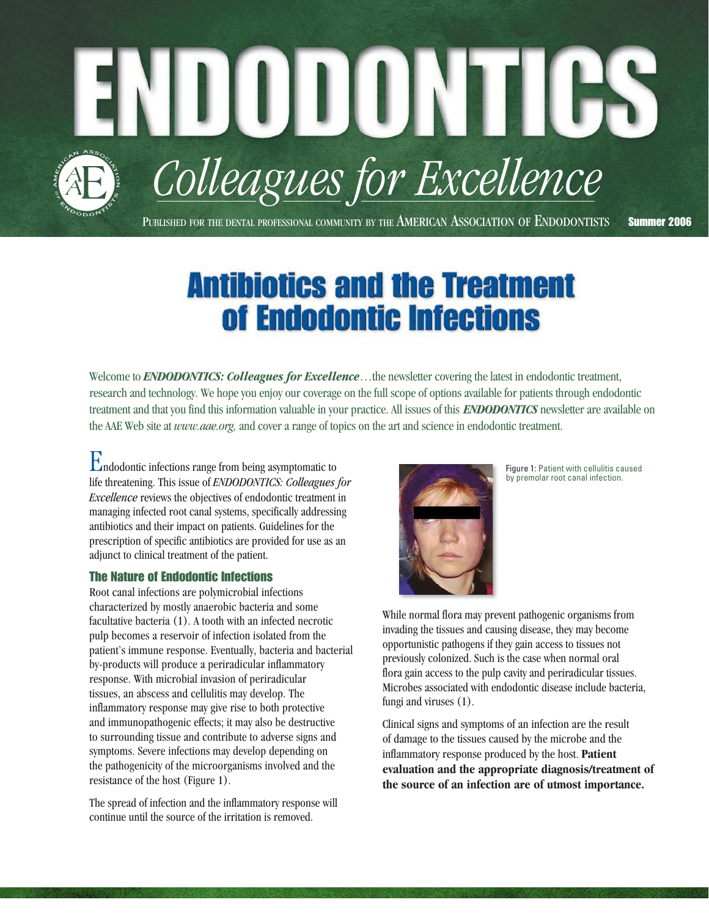PUBLISHED FOR THE DENTAL PROFESSIONAL COMMUNITY BY THE AMERICAN ASSOCIATION OF ENDODONTISTS Summer 2006

*Colleagues for Excellence*

NDUDUNIIGS

# **Antibiotics and the Treatment** of Endodontic Infections

Welcome to **ENDODONTICS:** Colleagues for *Excellence*...the newsletter covering the latest in endodontic treatment, research and technology. We hope you enjoy our coverage on the full scope of options available for patients through endodontic treatment and that you find this information valuable in your practice. All issues of this *ENDODONTICS* newsletter are available on the AAE Web site at *www.aae.org,* and cover a range of topics on the art and science in endodontic treatment.

Endodontic infections range from being asymptomatic to life threatening. This issue of *ENDODONTICS: Colleagues for Excellence* reviews the objectives of endodontic treatment in managing infected root canal systems, specifically addressing antibiotics and their impact on patients. Guidelines for the prescription of specific antibiotics are provided for use as an adjunct to clinical treatment of the patient.

# The Nature of Endodontic Infections

Root canal infections are polymicrobial infections characterized by mostly anaerobic bacteria and some facultative bacteria (1). A tooth with an infected necrotic pulp becomes a reservoir of infection isolated from the patient's immune response. Eventually, bacteria and bacterial by-products will produce a periradicular inflammatory response. With microbial invasion of periradicular tissues, an abscess and cellulitis may develop. The inflammatory response may give rise to both protective and immunopathogenic effects; it may also be destructive to surrounding tissue and contribute to adverse signs and symptoms. Severe infections may develop depending on the pathogenicity of the microorganisms involved and the resistance of the host (Figure 1).

The spread of infection and the inflammatory response will continue until the source of the irritation is removed.



Figure 1: Patient with cellulitis caused by premolar root canal infection.

While normal flora may prevent pathogenic organisms from invading the tissues and causing disease, they may become opportunistic pathogens if they gain access to tissues not previously colonized. Such is the case when normal oral flora gain access to the pulp cavity and periradicular tissues. Microbes associated with endodontic disease include bacteria, fungi and viruses (1).

Clinical signs and symptoms of an infection are the result of damage to the tissues caused by the microbe and the inflammatory response produced by the host. **Patient evaluation and the appropriate diagnosis/treatment of the source of an infection are of utmost importance.**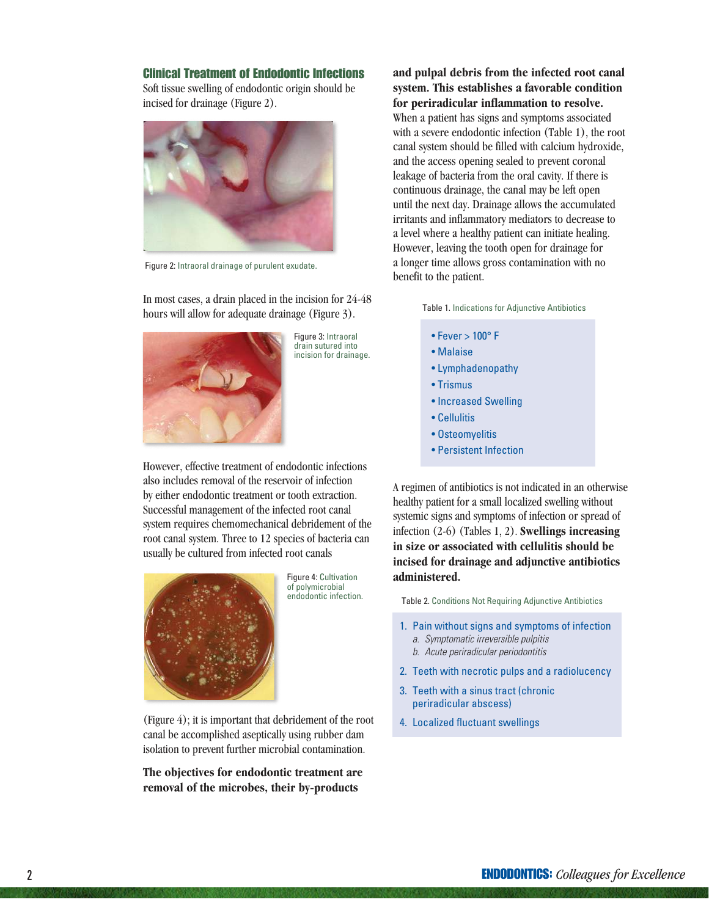#### Clinical Treatment of Endodontic Infections

Soft tissue swelling of endodontic origin should be incised for drainage (Figure 2).



Figure 2: Intraoral drainage of purulent exudate.

In most cases, a drain placed in the incision for 24-48 hours will allow for adequate drainage (Figure 3).



Figure 3: Intraoral drain sutured into incision for drainage.

However, effective treatment of endodontic infections also includes removal of the reservoir of infection by either endodontic treatment or tooth extraction. Successful management of the infected root canal system requires chemomechanical debridement of the root canal system. Three to 12 species of bacteria can usually be cultured from infected root canals



Figure 4: Cultivation of polymicrobial endodontic infection.

(Figure 4); it is important that debridement of the root canal be accomplished aseptically using rubber dam isolation to prevent further microbial contamination.

**The objectives for endodontic treatment are removal of the microbes, their by-products** 

**and pulpal debris from the infected root canal system. This establishes a favorable condition for periradicular inflammation to resolve.**  When a patient has signs and symptoms associated with a severe endodontic infection (Table 1), the root canal system should be filled with calcium hydroxide, and the access opening sealed to prevent coronal leakage of bacteria from the oral cavity. If there is continuous drainage, the canal may be left open until the next day. Drainage allows the accumulated irritants and inflammatory mediators to decrease to a level where a healthy patient can initiate healing. However, leaving the tooth open for drainage for a longer time allows gross contamination with no benefit to the patient.

Table 1. Indications for Adjunctive Antibiotics

- $\bullet$  Fever  $> 100^{\circ}$  F
- Malaise
- Lymphadenopathy
- Trismus
- Increased Swelling
- Cellulitis
- Osteomyelitis
- Persistent Infection

A regimen of antibiotics is not indicated in an otherwise healthy patient for a small localized swelling without systemic signs and symptoms of infection or spread of infection (2-6) (Tables 1, 2). **Swellings increasing in size or associated with cellulitis should be incised for drainage and adjunctive antibiotics administered.**

Table 2. Conditions Not Requiring Adjunctive Antibiotics

- 1. Pain without signs and symptoms of infection a. Symptomatic irreversible pulpitis
	- b. Acute periradicular periodontitis
- 2. Teeth with necrotic pulps and a radiolucency
- 3. Teeth with a sinus tract (chronic periradicular abscess)
- 4. Localized fluctuant swellings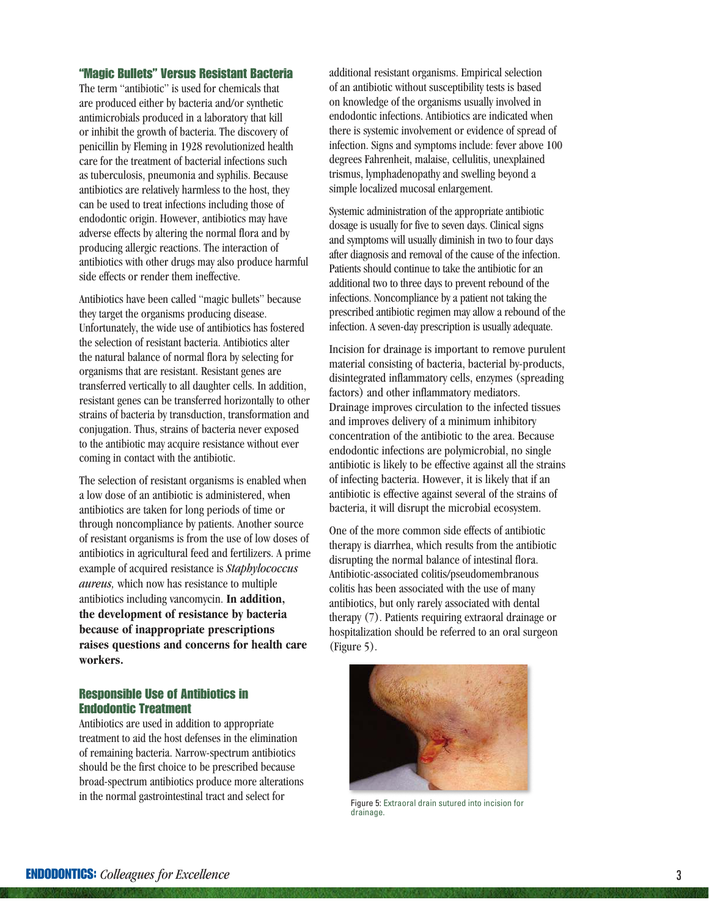#### "Magic Bullets" Versus Resistant Bacteria

The term "antibiotic" is used for chemicals that are produced either by bacteria and/or synthetic antimicrobials produced in a laboratory that kill or inhibit the growth of bacteria. The discovery of penicillin by Fleming in 1928 revolutionized health care for the treatment of bacterial infections such as tuberculosis, pneumonia and syphilis. Because antibiotics are relatively harmless to the host, they can be used to treat infections including those of endodontic origin. However, antibiotics may have adverse effects by altering the normal flora and by producing allergic reactions. The interaction of antibiotics with other drugs may also produce harmful side effects or render them ineffective.

Antibiotics have been called "magic bullets" because they target the organisms producing disease. Unfortunately, the wide use of antibiotics has fostered the selection of resistant bacteria. Antibiotics alter the natural balance of normal flora by selecting for organisms that are resistant. Resistant genes are transferred vertically to all daughter cells. In addition, resistant genes can be transferred horizontally to other strains of bacteria by transduction, transformation and conjugation. Thus, strains of bacteria never exposed to the antibiotic may acquire resistance without ever coming in contact with the antibiotic.

The selection of resistant organisms is enabled when a low dose of an antibiotic is administered, when antibiotics are taken for long periods of time or through noncompliance by patients. Another source of resistant organisms is from the use of low doses of antibiotics in agricultural feed and fertilizers. A prime example of acquired resistance is *Staphylococcus aureus,* which now has resistance to multiple antibiotics including vancomycin. **In addition, the development of resistance by bacteria because of inappropriate prescriptions raises questions and concerns for health care workers.**

#### Responsible Use of Antibiotics in Endodontic Treatment

Antibiotics are used in addition to appropriate treatment to aid the host defenses in the elimination of remaining bacteria. Narrow-spectrum antibiotics should be the first choice to be prescribed because broad-spectrum antibiotics produce more alterations in the normal gastrointestinal tract and select for

additional resistant organisms. Empirical selection of an antibiotic without susceptibility tests is based on knowledge of the organisms usually involved in endodontic infections. Antibiotics are indicated when there is systemic involvement or evidence of spread of infection. Signs and symptoms include: fever above 100 degrees Fahrenheit, malaise, cellulitis, unexplained trismus, lymphadenopathy and swelling beyond a simple localized mucosal enlargement.

Systemic administration of the appropriate antibiotic dosage is usually for five to seven days. Clinical signs and symptoms will usually diminish in two to four days after diagnosis and removal of the cause of the infection. Patients should continue to take the antibiotic for an additional two to three days to prevent rebound of the infections. Noncompliance by a patient not taking the prescribed antibiotic regimen may allow a rebound of the infection. A seven-day prescription is usually adequate.

Incision for drainage is important to remove purulent material consisting of bacteria, bacterial by-products, disintegrated inflammatory cells, enzymes (spreading factors) and other inflammatory mediators. Drainage improves circulation to the infected tissues and improves delivery of a minimum inhibitory concentration of the antibiotic to the area. Because endodontic infections are polymicrobial, no single antibiotic is likely to be effective against all the strains of infecting bacteria. However, it is likely that if an antibiotic is effective against several of the strains of bacteria, it will disrupt the microbial ecosystem.

One of the more common side effects of antibiotic therapy is diarrhea, which results from the antibiotic disrupting the normal balance of intestinal flora. Antibiotic-associated colitis/pseudomembranous colitis has been associated with the use of many antibiotics, but only rarely associated with dental therapy (7). Patients requiring extraoral drainage or hospitalization should be referred to an oral surgeon (Figure 5).



Figure 5: Extraoral drain sutured into incision for drainage.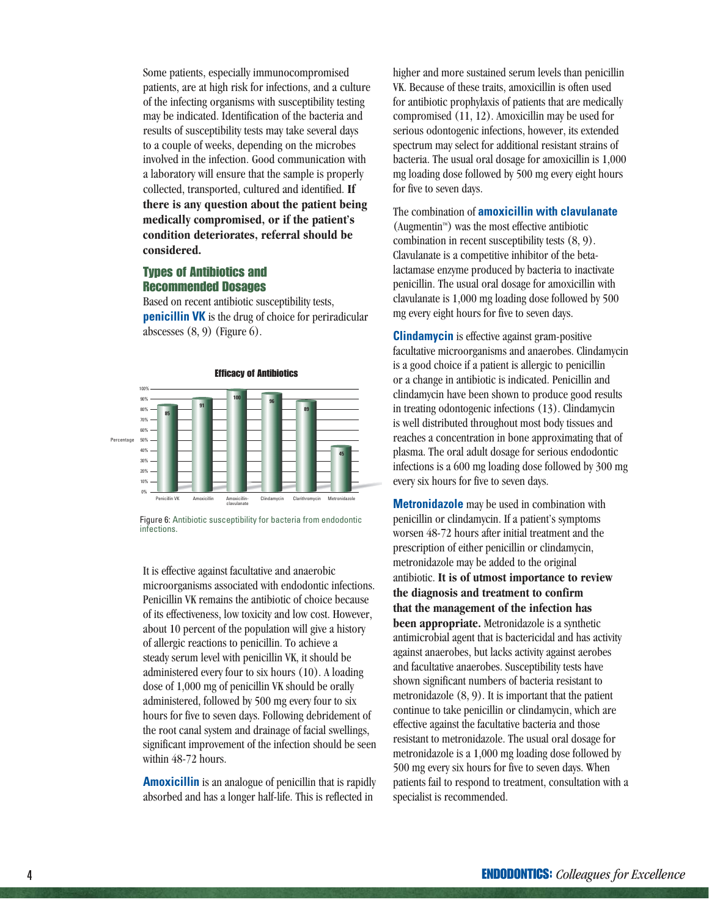Some patients, especially immunocompromised patients, are at high risk for infections, and a culture of the infecting organisms with susceptibility testing may be indicated. Identification of the bacteria and results of susceptibility tests may take several days to a couple of weeks, depending on the microbes involved in the infection. Good communication with a laboratory will ensure that the sample is properly collected, transported, cultured and identified. **If there is any question about the patient being medically compromised, or if the patient's condition deteriorates, referral should be considered.** 

# Types of Antibiotics and Recommended Dosages

Based on recent antibiotic susceptibility tests, **penicillin VK** is the drug of choice for periradicular abscesses  $(8, 9)$  (Figure 6).



Figure 6: Antibiotic susceptibility for bacteria from endodontic infections.

It is effective against facultative and anaerobic microorganisms associated with endodontic infections. Penicillin VK remains the antibiotic of choice because of its effectiveness, low toxicity and low cost. However, about 10 percent of the population will give a history of allergic reactions to penicillin. To achieve a steady serum level with penicillin VK, it should be administered every four to six hours (10). A loading dose of 1,000 mg of penicillin VK should be orally administered, followed by 500 mg every four to six hours for five to seven days. Following debridement of the root canal system and drainage of facial swellings, significant improvement of the infection should be seen within 48-72 hours.

**Amoxicillin** is an analogue of penicillin that is rapidly absorbed and has a longer half-life. This is reflected in

higher and more sustained serum levels than penicillin VK. Because of these traits, amoxicillin is often used for antibiotic prophylaxis of patients that are medically compromised (11, 12). Amoxicillin may be used for serious odontogenic infections, however, its extended spectrum may select for additional resistant strains of bacteria. The usual oral dosage for amoxicillin is 1,000 mg loading dose followed by 500 mg every eight hours for five to seven days.

The combination of **amoxicillin with clavulanate**  (Augmentin $\mathbb{M}$ ) was the most effective antibiotic combination in recent susceptibility tests (8, 9). Clavulanate is a competitive inhibitor of the betalactamase enzyme produced by bacteria to inactivate penicillin. The usual oral dosage for amoxicillin with clavulanate is 1,000 mg loading dose followed by 500 mg every eight hours for five to seven days.

**Clindamycin** is effective against gram-positive facultative microorganisms and anaerobes. Clindamycin is a good choice if a patient is allergic to penicillin or a change in antibiotic is indicated. Penicillin and clindamycin have been shown to produce good results in treating odontogenic infections (13). Clindamycin is well distributed throughout most body tissues and reaches a concentration in bone approximating that of plasma. The oral adult dosage for serious endodontic infections is a 600 mg loading dose followed by 300 mg every six hours for five to seven days.

**Metronidazole** may be used in combination with penicillin or clindamycin. If a patient's symptoms worsen 48-72 hours after initial treatment and the prescription of either penicillin or clindamycin, metronidazole may be added to the original antibiotic. **It is of utmost importance to review the diagnosis and treatment to confirm that the management of the infection has been appropriate.** Metronidazole is a synthetic antimicrobial agent that is bactericidal and has activity against anaerobes, but lacks activity against aerobes and facultative anaerobes. Susceptibility tests have shown significant numbers of bacteria resistant to metronidazole (8, 9). It is important that the patient continue to take penicillin or clindamycin, which are effective against the facultative bacteria and those resistant to metronidazole. The usual oral dosage for metronidazole is a 1,000 mg loading dose followed by 500 mg every six hours for five to seven days. When patients fail to respond to treatment, consultation with a specialist is recommended.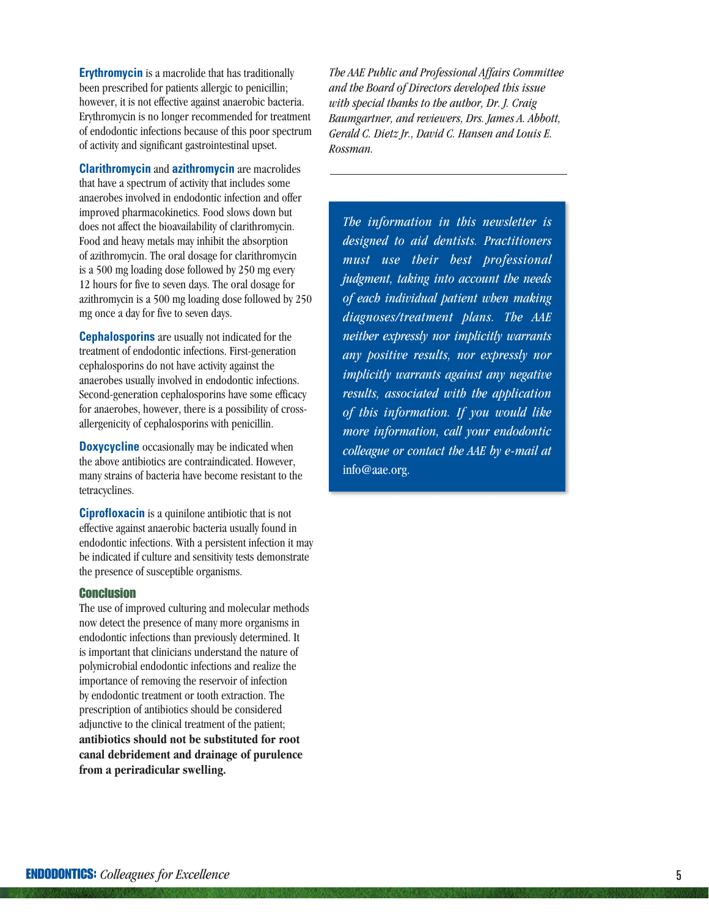**Erythromycin** is a macrolide that has traditionally been prescribed for patients allergic to penicillin; however, it is not effective against anaerobic bacteria. Erythromycin is no longer recommended for treatment of endodontic infections because of this poor spectrum of activity and significant gastrointestinal upset.

**Clarithromycin** and **azithromycin** are macrolides that have a spectrum of activity that includes some anaerobes involved in endodontic infection and offer improved pharmacokinetics. Food slows down but does not affect the bioavailability of clarithromycin. Food and heavy metals may inhibit the absorption of azithromycin. The oral dosage for clarithromycin is a 500 mg loading dose followed by 250 mg every 12 hours for five to seven days. The oral dosage for azithromycin is a 500 mg loading dose followed by 250 mg once a day for five to seven days.

**Cephalosporins** are usually not indicated for the treatment of endodontic infections. First-generation cephalosporins do not have activity against the anaerobes usually involved in endodontic infections. Second-generation cephalosporins have some efficacy for anaerobes, however, there is a possibility of crossallergenicity of cephalosporins with penicillin.

**Doxycycline** occasionally may be indicated when the above antibiotics are contraindicated. However, many strains of bacteria have become resistant to the tetracyclines.

**Ciprofloxacin** is a quinilone antibiotic that is not effective against anaerobic bacteria usually found in endodontic infections. With a persistent infection it may be indicated if culture and sensitivity tests demonstrate the presence of susceptible organisms.

#### **Conclusion**

The use of improved culturing and molecular methods now detect the presence of many more organisms in endodontic infections than previously determined. It is important that clinicians understand the nature of polymicrobial endodontic infections and realize the importance of removing the reservoir of infection by endodontic treatment or tooth extraction. The prescription of antibiotics should be considered adjunctive to the clinical treatment of the patient: **antibiotics should not be substituted for root canal debridement and drainage of purulence from a periradicular swelling.**

*The AAE Public and Professional Affairs Committee and the Board of Directors developed this issue with special thanks to the author, Dr. J. Craig Baumgartner, and reviewers, Drs. James A. Abbott, Gerald C. Dietz Jr., David C. Hansen and Louis E. Rossman.*

*The information in this newsletter is designed to aid dentists. Practitioners must use their best professional judgment, taking into account the needs of each individual patient when making diagnoses/treatment plans. The AAE neither expressly nor implicitly warrants any positive results, nor expressly nor implicitly warrants against any negative results, associated with the application of this information. If you would like more information, call your endodontic colleague or contact the AAE by e-mail at*  info@aae.org.